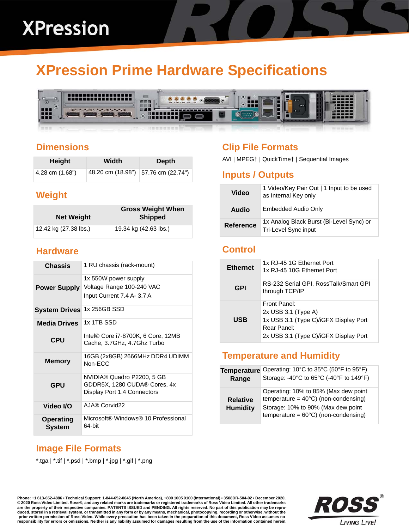# **XPression Prime Hardware Specifications**



### **Dimensions**

| Height          | Width | Depth                                 |
|-----------------|-------|---------------------------------------|
| 4.28 cm (1.68") |       | 48.20 cm (18.98")   57.76 cm (22.74") |

# **Weight**

| <b>Net Weight</b>     | <b>Gross Weight When</b><br><b>Shipped</b> |
|-----------------------|--------------------------------------------|
| 12.42 kg (27.38 lbs.) | 19.34 kg (42.63 lbs.)                      |

#### **Hardware**

| <b>Chassis</b>                    | 1 RU chassis (rack-mount)                                                                 |
|-----------------------------------|-------------------------------------------------------------------------------------------|
| <b>Power Supply</b>               | 1x 550W power supply<br>Voltage Range 100-240 VAC<br>Input Current 7.4 A- 3.7 A           |
| <b>System Drives</b>              | 1x 256GB SSD                                                                              |
| <b>Media Drives</b>               | 1x 1TB SSD                                                                                |
| <b>CPU</b>                        | Intel© Core i7-8700K, 6 Core, 12MB<br>Cache, 3.7GHz, 4.7Ghz Turbo                         |
| <b>Memory</b>                     | 16GB (2x8GB) 2666MHz DDR4 UDIMM<br>Non-ECC                                                |
| <b>GPU</b>                        | NVIDIA® Quadro P2200, 5 GB<br>GDDR5X, 1280 CUDA® Cores, 4x<br>Display Port 1.4 Connectors |
| Video I/O                         | AJA® Corvid22                                                                             |
| <b>Operating</b><br><b>System</b> | Microsoft® Windows® 10 Professional<br>64-bit                                             |

# **Clip File Formats**

AVI | MPEG† | QuickTime† | Sequential Images

#### **Inputs / Outputs**

| Video     | 1 Video/Key Pair Out   1 Input to be used<br>as Internal Key only |
|-----------|-------------------------------------------------------------------|
| Audio     | Embedded Audio Only                                               |
| Reference | 1x Analog Black Burst (Bi-Level Sync) or<br>Tri-Level Sync input  |

# **Control**

| <b>Ethernet</b> | 1x RJ-45 1G Ethernet Port<br>1x RJ-45 10G Ethernet Port                                                                                |
|-----------------|----------------------------------------------------------------------------------------------------------------------------------------|
| GPI             | RS-232 Serial GPI, RossTalk/Smart GPI<br>through TCP/IP                                                                                |
| <b>USB</b>      | Front Panel:<br>$2x$ USB 3.1 (Type A)<br>1x USB 3.1 (Type C)/iGFX Display Port<br>Rear Panel:<br>2x USB 3.1 (Type C)/iGFX Display Port |

#### **Temperature and Humidity**

| <b>Temperature</b>                 | Operating: 10°C to 35°C (50°F to 95°F)                                                                                                                                         |
|------------------------------------|--------------------------------------------------------------------------------------------------------------------------------------------------------------------------------|
| Range                              | Storage: -40°C to 65°C (-40°F to 149°F)                                                                                                                                        |
| <b>Relative</b><br><b>Humidity</b> | Operating: 10% to 85% (Max dew point<br>temperature = $40^{\circ}$ C) (non-condensing)<br>Storage: 10% to 90% (Max dew point<br>temperature = $60^{\circ}$ C) (non-condensing) |

# **Image File Formats**

\*.tga | \*.tif | \*.psd | \*.bmp | \*.jpg | \*.gif | \*.png

**Phone: +1 613-652-4886 • Technical Support: 1-844-652-0645 (North America), +800 1005 0100 (International) • 3508DR-504-02 • December 2020, © 2020 Ross Video Limited. Ross®, and any related marks are trademarks or registered trademarks of Ross Video Limited. All other trademarks are the property of their respective companies. PATENTS ISSUED and PENDING. All rights reserved. No part of this publication may be repro**duced, stored in a retrieval system, or transmitted in any form or by any means, mechanical, photocopying, recording or otherwise, without the<br>prior written permission of Ross Video. While every precaution has been taken i